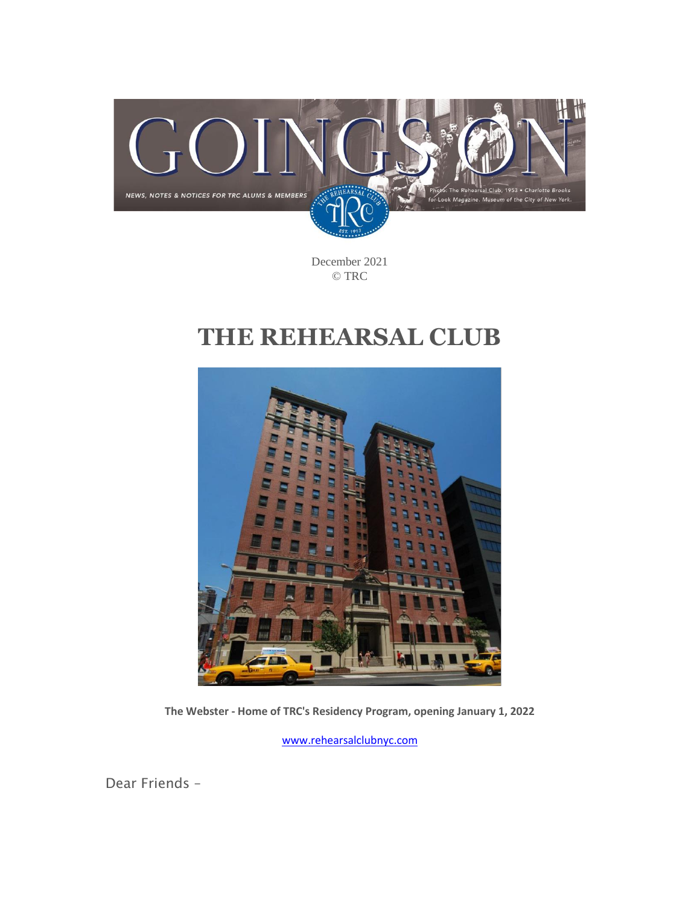

December 2021 © TRC

# **THE REHEARSAL CLUB**



**The Webster - Home of TRC's Residency Program, opening January 1, 2022**

[www.rehearsalclubnyc.com](http://www.rehearsalclubnyc.com/)

Dear Friends –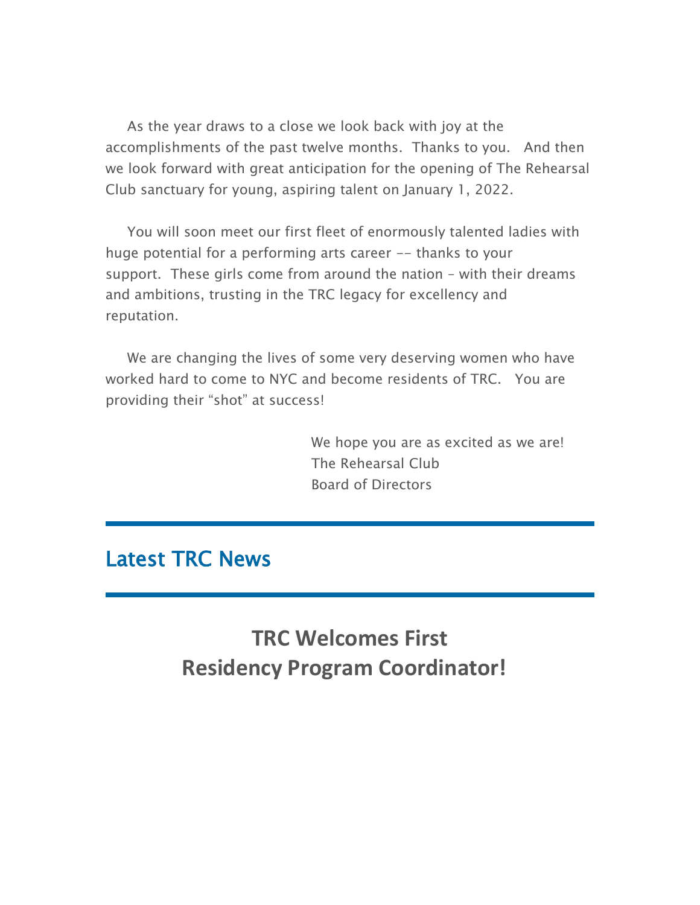As the year draws to a close we look back with joy at the accomplishments of the past twelve months. Thanks to you. And then we look forward with great anticipation for the opening of The Rehearsal Club sanctuary for young, aspiring talent on January 1, 2022.

You will soon meet our first fleet of enormously talented ladies with huge potential for a performing arts career -- thanks to your support. These girls come from around the nation – with their dreams and ambitions, trusting in the TRC legacy for excellency and reputation.

We are changing the lives of some very deserving women who have worked hard to come to NYC and become residents of TRC. You are providing their "shot" at success!

> We hope you are as excited as we are! The Rehearsal Club Board of Directors

## Latest TRC News

**TRC Welcomes First Residency Program Coordinator!**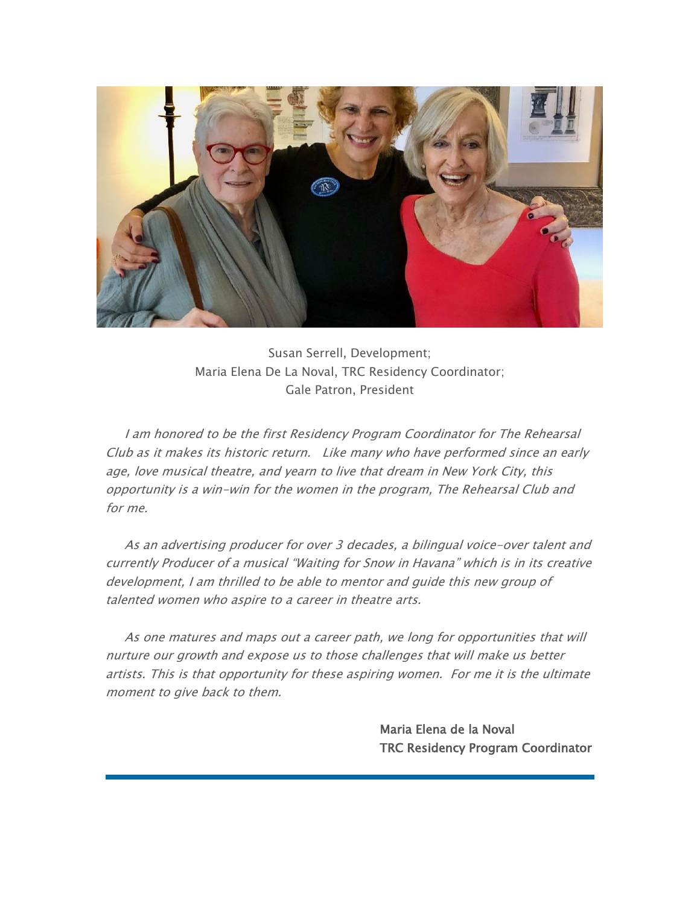

Susan Serrell, Development; Maria Elena De La Noval, TRC Residency Coordinator; Gale Patron, President

I am honored to be the first Residency Program Coordinator for The Rehearsal Club as it makes its historic return. Like many who have performed since an early age, love musical theatre, and yearn to live that dream in New York City, this opportunity is a win-win for the women in the program, The Rehearsal Club and for me.

As an advertising producer for over 3 decades, a bilingual voice-over talent and currently Producer of a musical "Waiting for Snow in Havana" which is in its creative development, I am thrilled to be able to mentor and guide this new group of talented women who aspire to a career in theatre arts.

As one matures and maps out a career path, we long for opportunities that will nurture our growth and expose us to those challenges that will make us better artists. This is that opportunity for these aspiring women. For me it is the ultimate moment to give back to them.

> Maria Elena de la Noval TRC Residency Program Coordinator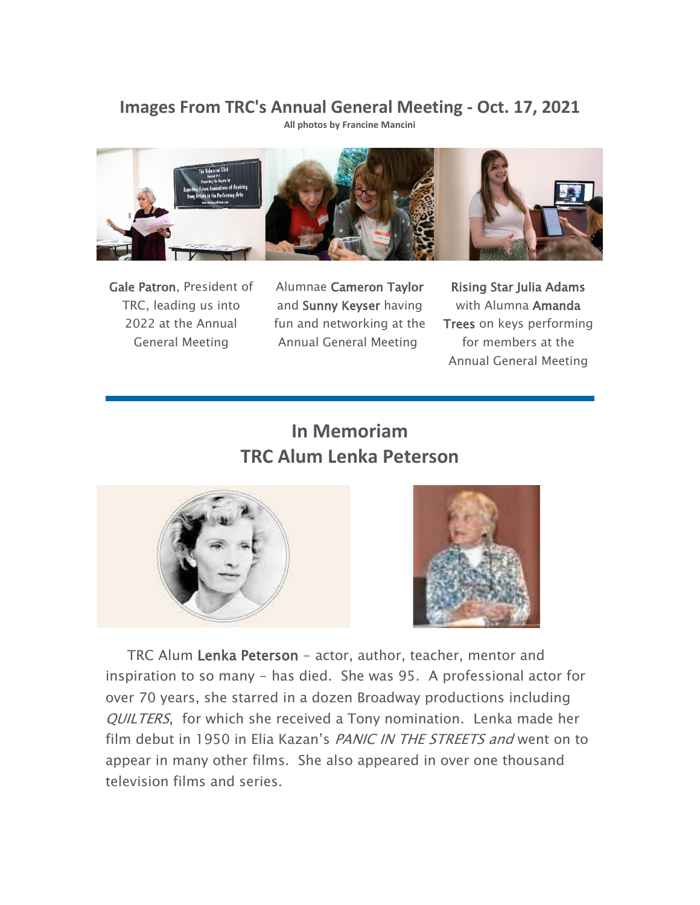### **Images From TRC's Annual General Meeting - Oct. 17, 2021**

**All photos by Francine Mancini**



Gale Patron, President of TRC, leading us into 2022 at the Annual General Meeting

Alumnae Cameron Taylor and Sunny Keyser having fun and networking at the Annual General Meeting

Rising Star Julia Adams with Alumna Amanda Trees on keys performing for members at the Annual General Meeting

### **In Memoriam TRC Alum Lenka Peterson**





TRC Alum Lenka Peterson - actor, author, teacher, mentor and inspiration to so many - has died. She was 95. A professional actor for over 70 years, she starred in a dozen Broadway productions including QUILTERS, for which she received a Tony nomination. Lenka made her film debut in 1950 in Elia Kazan's PANIC IN THE STREETS and went on to appear in many other films. She also appeared in over one thousand television films and series.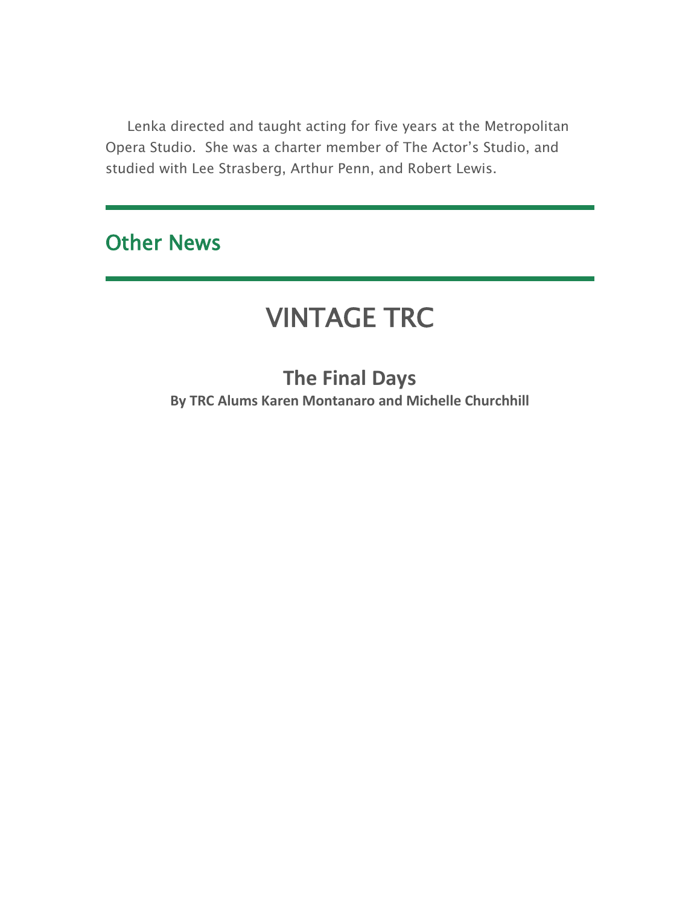Lenka directed and taught acting for five years at the Metropolitan Opera Studio. She was a charter member of The Actor's Studio, and studied with Lee Strasberg, Arthur Penn, and Robert Lewis.

# Other News

# VINTAGE TRC

**The Final Days By TRC Alums Karen Montanaro and Michelle Churchhill**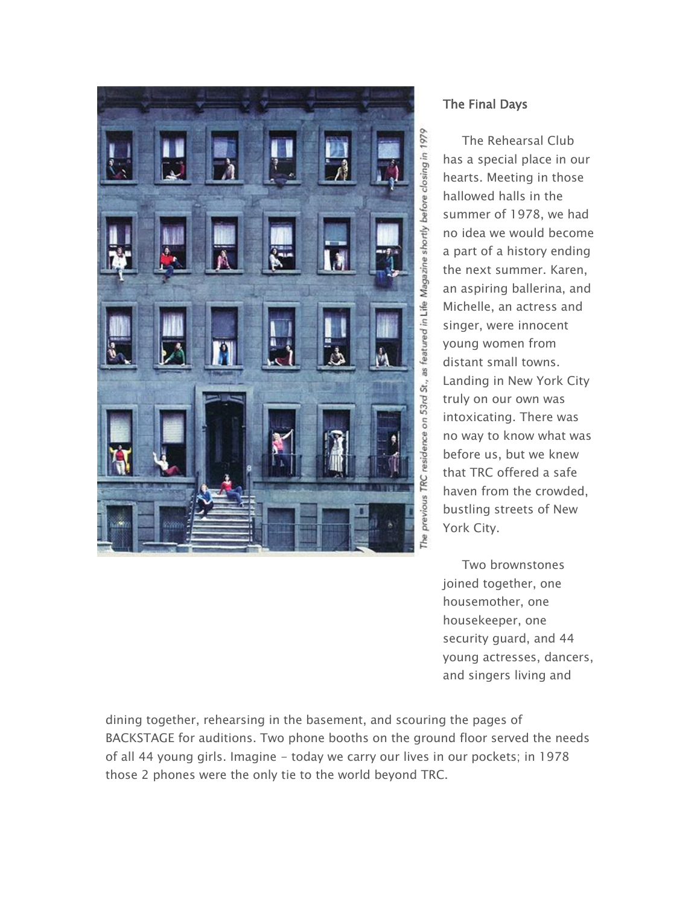

### The Final Days

 The Rehearsal Club has a special place in our hearts. Meeting in those hallowed halls in the summer of 1978, we had no idea we would become a part of a history ending the next summer. Karen, an aspiring ballerina, and Michelle, an actress and singer, were innocent young women from distant small towns. Landing in New York City truly on our own was intoxicating. There was no way to know what was before us, but we knew that TRC offered a safe haven from the crowded, bustling streets of New York City.

 Two brownstones joined together, one housemother, one housekeeper, one security guard, and 44 young actresses, dancers, and singers living and

dining together, rehearsing in the basement, and scouring the pages of BACKSTAGE for auditions. Two phone booths on the ground floor served the needs of all 44 young girls. Imagine - today we carry our lives in our pockets; in 1978 those 2 phones were the only tie to the world beyond TRC.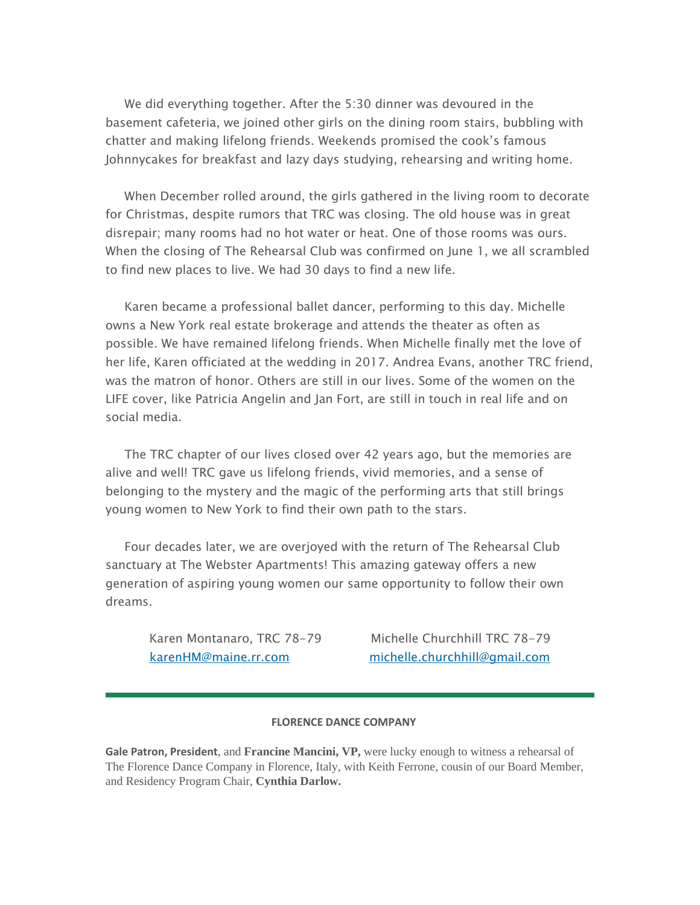We did everything together. After the 5:30 dinner was devoured in the basement cafeteria, we joined other girls on the dining room stairs, bubbling with chatter and making lifelong friends. Weekends promised the cook's famous Johnnycakes for breakfast and lazy days studying, rehearsing and writing home.

 When December rolled around, the girls gathered in the living room to decorate for Christmas, despite rumors that TRC was closing. The old house was in great disrepair; many rooms had no hot water or heat. One of those rooms was ours. When the closing of The Rehearsal Club was confirmed on June 1, we all scrambled to find new places to live. We had 30 days to find a new life.

 Karen became a professional ballet dancer, performing to this day. Michelle owns a New York real estate brokerage and attends the theater as often as possible. We have remained lifelong friends. When Michelle finally met the love of her life, Karen officiated at the wedding in 2017. Andrea Evans, another TRC friend, was the matron of honor. Others are still in our lives. Some of the women on the LIFE cover, like Patricia Angelin and Jan Fort, are still in touch in real life and on social media.

 The TRC chapter of our lives closed over 42 years ago, but the memories are alive and well! TRC gave us lifelong friends, vivid memories, and a sense of belonging to the mystery and the magic of the performing arts that still brings young women to New York to find their own path to the stars.

 Four decades later, we are overjoyed with the return of The Rehearsal Club sanctuary at The Webster Apartments! This amazing gateway offers a new generation of aspiring young women our same opportunity to follow their own dreams.

Karen Montanaro, TRC 78-79 Michelle Churchhill TRC 78-79 [karenHM@maine.rr.com](mailto:karenHM@maine.rr.com) [michelle.churchhill@gmail.com](mailto:karenHM@maine.rr.com)

#### **FLORENCE DANCE COMPANY**

**Gale Patron, President**, and **Francine Mancini, VP,** were lucky enough to witness a rehearsal of The Florence Dance Company in Florence, Italy, with Keith Ferrone, cousin of our Board Member, and Residency Program Chair, **Cynthia Darlow.**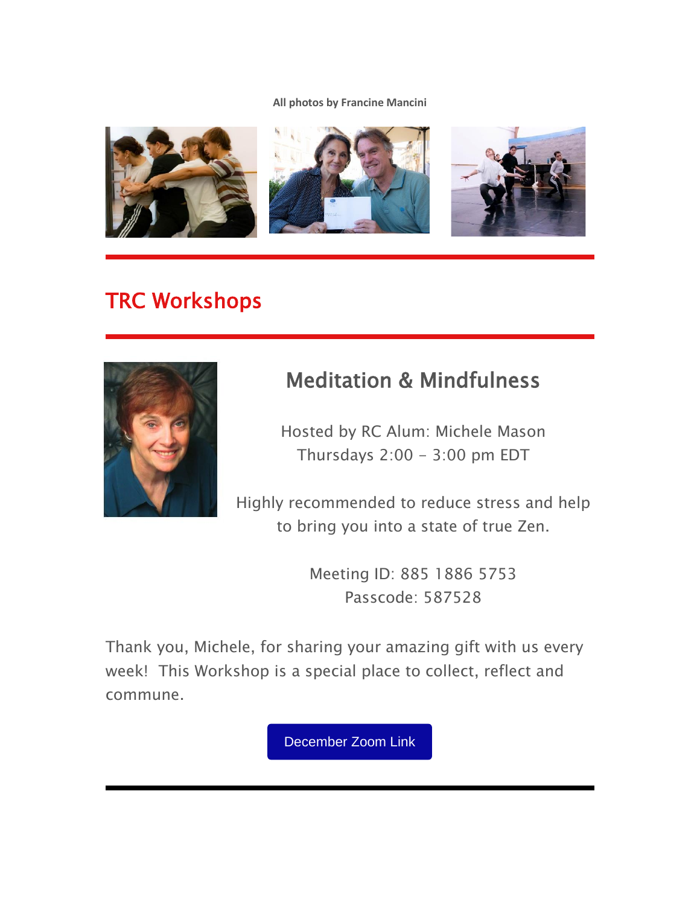**All photos by Francine Mancini**



# TRC Workshops



# Meditation & Mindfulness

Hosted by RC Alum: Michele Mason Thursdays  $2:00 - 3:00$  pm EDT

Highly recommended to reduce stress and help to bring you into a state of true Zen.

> Meeting ID: 885 1886 5753 Passcode: 587528

Thank you, Michele, for sharing your amazing gift with us every week! This Workshop is a special place to collect, reflect and commune.

[December](https://us02web.zoom.us/j/88518865753?pwd=M3V2ZkgyMGpiU1pKejlHNld4SVJFdz09) Zoom Link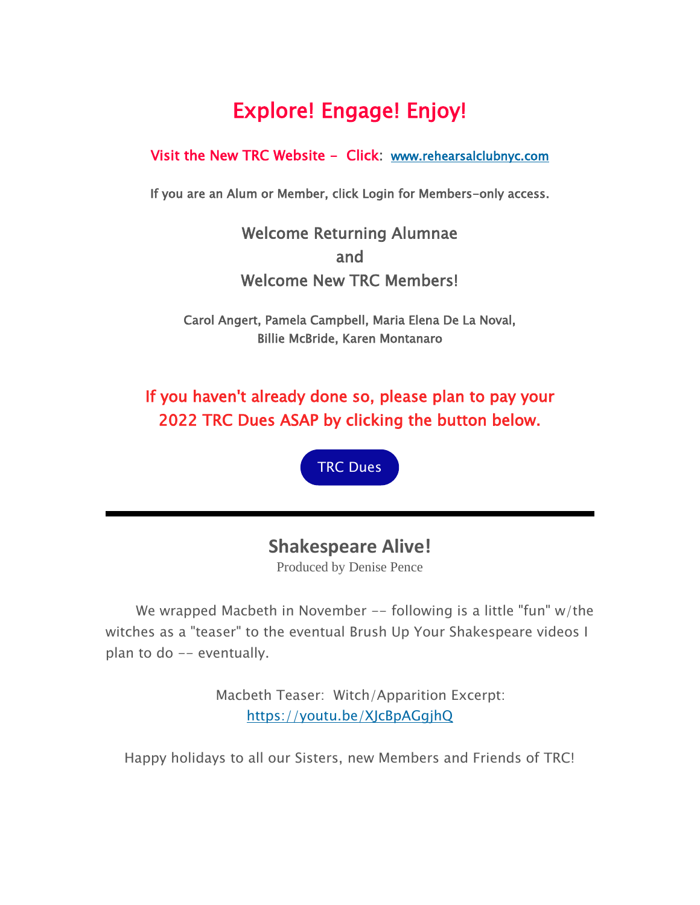# Explore! Engage! Enjoy!

### Visit the New TRC Website - Click: [www.rehearsalclubnyc.com](http://em.networkforgood.com/ls/click?upn=d9K6ASy0zzX96vUyeY2s4NbX7GC-2B-2BQrvMkId8Tobla-2FvkTqIGb6BP464szxIK4hE3LeC_mVgFLr7YN-2FKDVqGhILtkQY9fXF2OyRftV4uiTXV7NCFmx397hqVIaghoWdDojcNgljEOLatMwMIZuq6b8EklhWdPc1pKLNDxfdjkctWw8wRT5xYuneHLBEi0VXjTk1BQnAcm0JVmg1smahN0M6Fdm8IAxZsu8PwbR0b5WTY3eTFBuX3weVQYp180SgHRivDW1GXRzQt9qtVZeL6kJ8bo0GNfz2t0Irva7YIywMuJinFnJwCo5fAUJ9CnY8jxJs8FcCm-2BC3fQM2-2Bpkx-2Fj3eeig0DdNLOw7osbIZ70xc-2F2ECqArAvawNkFmPTXiofXpAQQdt3Fu58OxmeryWMVKJRUd4Er5flmJE0o6ElvDAs2s3E-3D)

If you are an Alum or Member, click Login for Members-only access.

Welcome Returning Alumnae and Welcome New TRC Members!

Carol Angert, Pamela Campbell, Maria Elena De La Noval, Billie McBride, Karen Montanaro

If you haven't already done so, please plan to pay your 2022 TRC Dues ASAP by clicking the button below.



### **Shakespeare Alive!**

Produced by Denise Pence

We wrapped Macbeth in November -- following is a little "fun" w/the witches as a "teaser" to the eventual Brush Up Your Shakespeare videos I plan to do -- eventually.

> Macbeth Teaser: Witch/Apparition Excerpt: [https://youtu.be/XJcBpAGgjhQ](http://em.networkforgood.com/ls/click?upn=VAGGw4zHikj3d-2F5242H3ZnK472hvuLQM3ZQxp9XZaA8ilayI3OeKoJFQEWb3LDRyE2xI_mVgFLr7YN-2FKDVqGhILtkQY9fXF2OyRftV4uiTXV7NCFmx397hqVIaghoWdDojcNgljEOLatMwMIZuq6b8EklhWdPc1pKLNDxfdjkctWw8wRT5xYuneHLBEi0VXjTk1BQnAcm0JVmg1smahN0M6Fdm8IAxZsu8PwbR0b5WTY3eTGJJzjesR8YQsj0MNdxhA-2B7PCeXelF-2BpOUXVxFI2RHoEvKldjiRgKCUR78bL3C1lKf-2F-2F4nbNOeh-2F1-2Bd8MmsfIQ8YGPoPxzxLCmcK3XPCE5-2BqnAuLoJW7RzUoSSkEBfkRXdb90wcvUepr4rkgMUG20dx7fPQGShYFeczo0IvSz-2Bz9-2FhA2TUKhEh5toxKHH9zJgM-3D)

Happy holidays to all our Sisters, new Members and Friends of TRC!